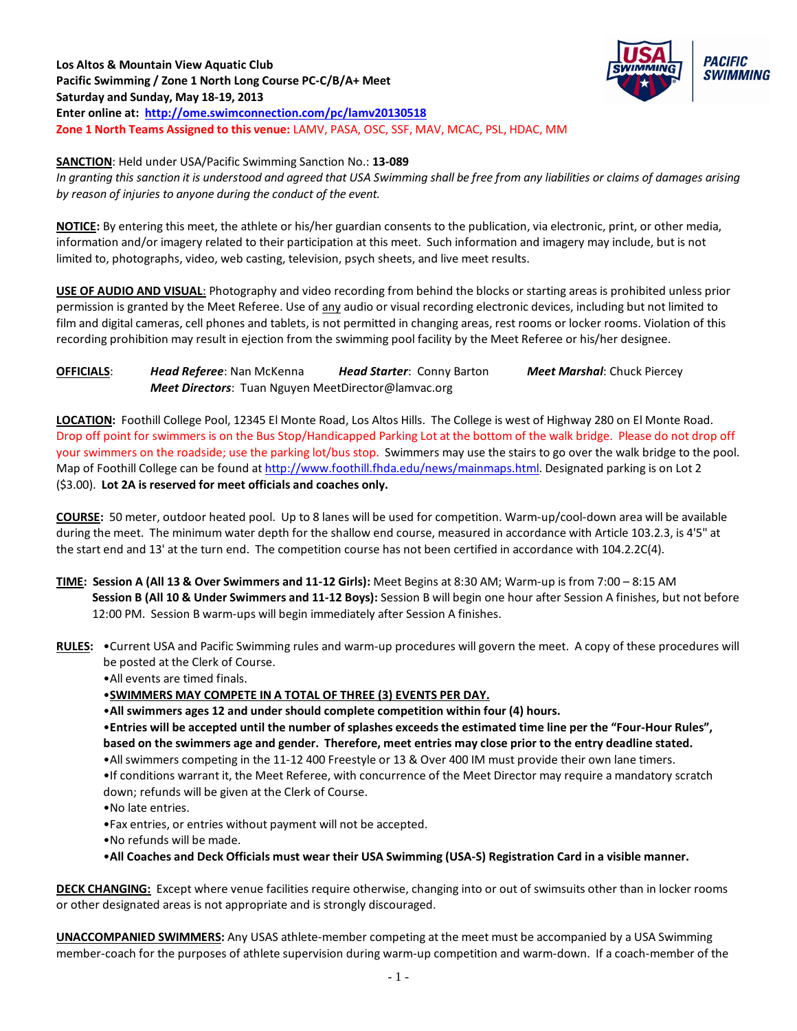

**SANCTION**: Held under USA/Pacific Swimming Sanction No.: **13-089** *In granting this sanction it is understood and agreed that USA Swimming shall be free from any liabilities or claims of damages arising by reason of injuries to anyone during the conduct of the event.*

**NOTICE:** By entering this meet, the athlete or his/her guardian consents to the publication, via electronic, print, or other media, information and/or imagery related to their participation at this meet. Such information and imagery may include, but is not limited to, photographs, video, web casting, television, psych sheets, and live meet results.

**USE OF AUDIO AND VISUAL**: Photography and video recording from behind the blocks or starting areas is prohibited unless prior permission is granted by the Meet Referee. Use of any audio or visual recording electronic devices, including but not limited to film and digital cameras, cell phones and tablets, is not permitted in changing areas, rest rooms or locker rooms. Violation of this recording prohibition may result in ejection from the swimming pool facility by the Meet Referee or his/her designee.

**OFFICIALS**: *Head Referee*: Nan McKenna *Head Starter*: Conny Barton *Meet Marshal*: Chuck Piercey *Meet Directors*: Tuan Nguyen MeetDirector@lamvac.org

**LOCATION:** Foothill College Pool, 12345 El Monte Road, Los Altos Hills. The College is west of Highway 280 on El Monte Road. Drop off point for swimmers is on the Bus Stop/Handicapped Parking Lot at the bottom of the walk bridge. Please do not drop off your swimmers on the roadside; use the parking lot/bus stop. Swimmers may use the stairs to go over the walk bridge to the pool. Map of Foothill College can be found a[t http://www.foothill.fhda.edu/news/mainmaps.html.](http://www.foothill.fhda.edu/news/mainmaps.html) Designated parking is on Lot 2 (\$3.00). **Lot 2A is reserved for meet officials and coaches only.**

**COURSE:** 50 meter, outdoor heated pool. Up to 8 lanes will be used for competition. Warm-up/cool-down area will be available during the meet. The minimum water depth for the shallow end course, measured in accordance with Article 103.2.3, is 4'5" at the start end and 13' at the turn end. The competition course has not been certified in accordance with 104.2.2C(4).

- **TIME: Session A (All 13 & Over Swimmers and 11-12 Girls):** Meet Begins at 8:30 AM; Warm-up is from 7:00 8:15 AM **Session B (All 10 & Under Swimmers and 11-12 Boys):** Session B will begin one hour after Session A finishes, but not before 12:00 PM. Session B warm-ups will begin immediately after Session A finishes.
- **RULES:** •Current USA and Pacific Swimming rules and warm-up procedures will govern the meet. A copy of these procedures will be posted at the Clerk of Course.

•All events are timed finals.

•**SWIMMERS MAY COMPETE IN A TOTAL OF THREE (3) EVENTS PER DAY.**

•**All swimmers ages 12 and under should complete competition within four (4) hours.** 

•**Entries will be accepted until the number of splashes exceeds the estimated time line per the "Four-Hour Rules", based on the swimmers age and gender. Therefore, meet entries may close prior to the entry deadline stated.**

•All swimmers competing in the 11-12 400 Freestyle or 13 & Over 400 IM must provide their own lane timers.

•If conditions warrant it, the Meet Referee, with concurrence of the Meet Director may require a mandatory scratch down; refunds will be given at the Clerk of Course.

•No late entries.

•Fax entries, or entries without payment will not be accepted.

•No refunds will be made.

•**All Coaches and Deck Officials must wear their USA Swimming (USA-S) Registration Card in a visible manner.** 

**DECK CHANGING:** Except where venue facilities require otherwise, changing into or out of swimsuits other than in locker rooms or other designated areas is not appropriate and is strongly discouraged.

**UNACCOMPANIED SWIMMERS:** Any USAS athlete-member competing at the meet must be accompanied by a USA Swimming member-coach for the purposes of athlete supervision during warm-up competition and warm-down. If a coach-member of the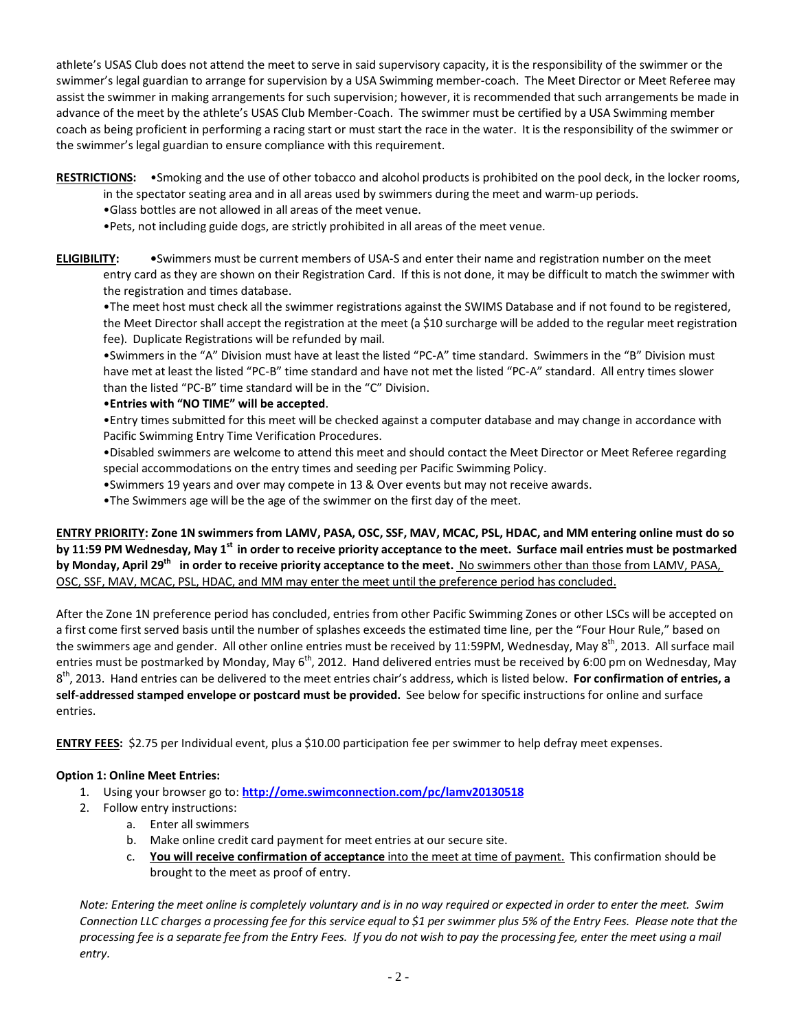athlete's USAS Club does not attend the meet to serve in said supervisory capacity, it is the responsibility of the swimmer or the swimmer's legal guardian to arrange for supervision by a USA Swimming member-coach. The Meet Director or Meet Referee may assist the swimmer in making arrangements for such supervision; however, it is recommended that such arrangements be made in advance of the meet by the athlete's USAS Club Member-Coach. The swimmer must be certified by a USA Swimming member coach as being proficient in performing a racing start or must start the race in the water. It is the responsibility of the swimmer or the swimmer's legal guardian to ensure compliance with this requirement.

**RESTRICTIONS:** •Smoking and the use of other tobacco and alcohol products is prohibited on the pool deck, in the locker rooms, in the spectator seating area and in all areas used by swimmers during the meet and warm-up periods.

•Glass bottles are not allowed in all areas of the meet venue.

•Pets, not including guide dogs, are strictly prohibited in all areas of the meet venue.

**ELIGIBILITY: •**Swimmers must be current members of USA-S and enter their name and registration number on the meet entry card as they are shown on their Registration Card. If this is not done, it may be difficult to match the swimmer with the registration and times database.

•The meet host must check all the swimmer registrations against the SWIMS Database and if not found to be registered, the Meet Director shall accept the registration at the meet (a \$10 surcharge will be added to the regular meet registration fee). Duplicate Registrations will be refunded by mail.

•Swimmers in the "A" Division must have at least the listed "PC-A" time standard. Swimmers in the "B" Division must have met at least the listed "PC-B" time standard and have not met the listed "PC-A" standard. All entry times slower than the listed "PC-B" time standard will be in the "C" Division.

## •**Entries with "NO TIME" will be accepted**.

•Entry times submitted for this meet will be checked against a computer database and may change in accordance with Pacific Swimming Entry Time Verification Procedures.

•Disabled swimmers are welcome to attend this meet and should contact the Meet Director or Meet Referee regarding special accommodations on the entry times and seeding per Pacific Swimming Policy.

•Swimmers 19 years and over may compete in 13 & Over events but may not receive awards.

•The Swimmers age will be the age of the swimmer on the first day of the meet.

**ENTRY PRIORITY: Zone 1N swimmers from LAMV, PASA, OSC, SSF, MAV, MCAC, PSL, HDAC, and MM entering online must do so by 11:59 PM Wednesday, May 1st in order to receive priority acceptance to the meet. Surface mail entries must be postmarked**  by Monday, April 29<sup>th</sup> in order to receive priority acceptance to the meet. No swimmers other than those from LAMV, PASA, OSC, SSF, MAV, MCAC, PSL, HDAC, and MM may enter the meet until the preference period has concluded.

After the Zone 1N preference period has concluded, entries from other Pacific Swimming Zones or other LSCs will be accepted on a first come first served basis until the number of splashes exceeds the estimated time line, per the "Four Hour Rule," based on the swimmers age and gender. All other online entries must be received by 11:59PM, Wednesday, May 8<sup>th</sup>, 2013. All surface mail entries must be postmarked by Monday, May  $6^{th}$ , 2012. Hand delivered entries must be received by 6:00 pm on Wednesday, May 8th, 2013. Hand entries can be delivered to the meet entries chair's address, which is listed below. **For confirmation of entries, a self-addressed stamped envelope or postcard must be provided.** See below for specific instructions for online and surface entries.

**ENTRY FEES:** \$2.75 per Individual event, plus a \$10.00 participation fee per swimmer to help defray meet expenses.

## **Option 1: Online Meet Entries:**

- 1. Using your browser go to: **http://ome[.swimconnection.](http://ome.swimconnection.com/pc/daca/20130518)com/pc/lamv20130518**
- 2. Follow entry instructions:
	- a. Enter all swimmers
	- b. Make online credit card payment for meet entries at our secure site.
	- c. **You will receive confirmation of acceptance** into the meet at time of payment. This confirmation should be brought to the meet as proof of entry.

*Note: Entering the meet online is completely voluntary and is in no way required or expected in order to enter the meet. Swim Connection LLC charges a processing fee for this service equal to \$1 per swimmer plus 5% of the Entry Fees. Please note that the processing fee is a separate fee from the Entry Fees. If you do not wish to pay the processing fee, enter the meet using a mail entry.*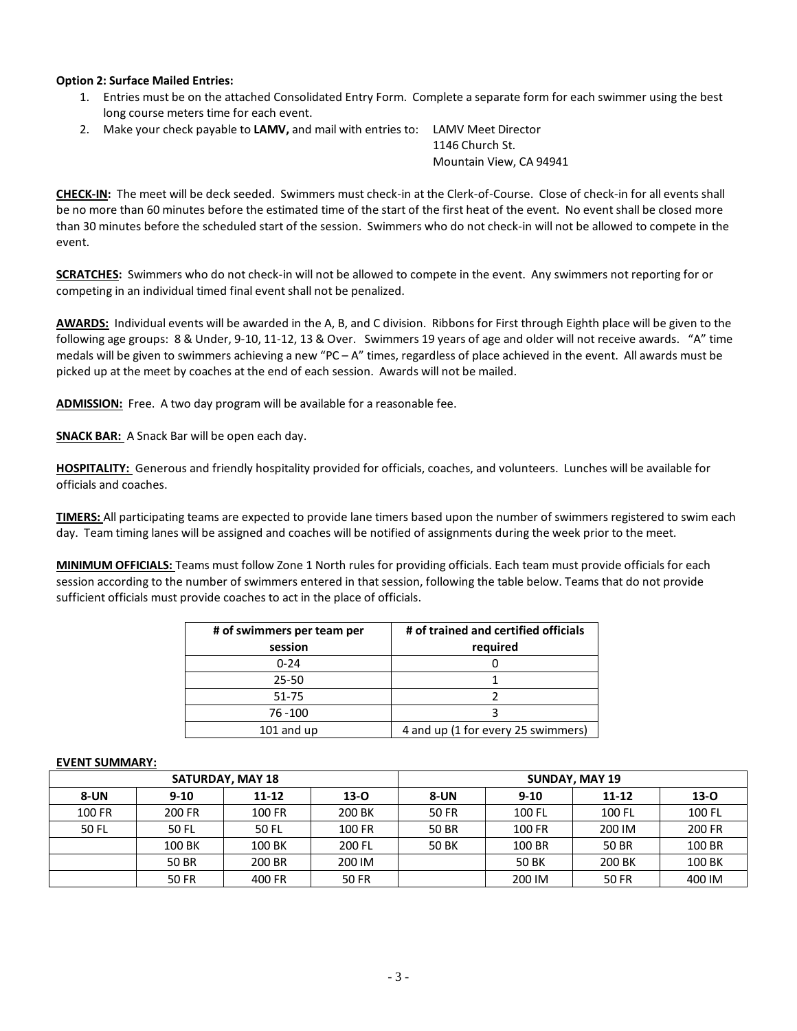### **Option 2: Surface Mailed Entries:**

- 1. Entries must be on the attached Consolidated Entry Form. Complete a separate form for each swimmer using the best long course meters time for each event.
- 2. Make your check payable to **LAMV,** and mail with entries to: LAMV Meet Director

 1146 Church St. Mountain View, CA 94941

**CHECK-IN:** The meet will be deck seeded. Swimmers must check-in at the Clerk-of-Course. Close of check-in for all events shall be no more than 60 minutes before the estimated time of the start of the first heat of the event. No event shall be closed more than 30 minutes before the scheduled start of the session. Swimmers who do not check-in will not be allowed to compete in the event.

**SCRATCHES:** Swimmers who do not check-in will not be allowed to compete in the event. Any swimmers not reporting for or competing in an individual timed final event shall not be penalized.

**AWARDS:** Individual events will be awarded in the A, B, and C division. Ribbons for First through Eighth place will be given to the following age groups: 8 & Under, 9-10, 11-12, 13 & Over. Swimmers 19 years of age and older will not receive awards. "A" time medals will be given to swimmers achieving a new "PC – A" times, regardless of place achieved in the event. All awards must be picked up at the meet by coaches at the end of each session. Awards will not be mailed.

**ADMISSION:** Free. A two day program will be available for a reasonable fee.

**SNACK BAR:** A Snack Bar will be open each day.

**HOSPITALITY:** Generous and friendly hospitality provided for officials, coaches, and volunteers. Lunches will be available for officials and coaches.

**TIMERS:** All participating teams are expected to provide lane timers based upon the number of swimmers registered to swim each day. Team timing lanes will be assigned and coaches will be notified of assignments during the week prior to the meet.

**MINIMUM OFFICIALS:** Teams must follow Zone 1 North rules for providing officials. Each team must provide officials for each session according to the number of swimmers entered in that session, following the table below. Teams that do not provide sufficient officials must provide coaches to act in the place of officials.

| # of swimmers per team per | # of trained and certified officials |  |  |  |
|----------------------------|--------------------------------------|--|--|--|
| session                    | required                             |  |  |  |
| $0 - 24$                   |                                      |  |  |  |
| $25 - 50$                  |                                      |  |  |  |
| $51 - 75$                  |                                      |  |  |  |
| 76 - 100                   |                                      |  |  |  |
| $101$ and up               | 4 and up (1 for every 25 swimmers)   |  |  |  |

#### **EVENT SUMMARY:**

| <b>SATURDAY, MAY 18</b> |          |           |        | <b>SUNDAY, MAY 19</b> |          |           |          |
|-------------------------|----------|-----------|--------|-----------------------|----------|-----------|----------|
| <b>8-UN</b>             | $9 - 10$ | $11 - 12$ | $13-0$ | 8-UN                  | $9 - 10$ | $11 - 12$ | $13 - 0$ |
| 100 FR                  | 200 FR   | 100 FR    | 200 BK | 50 FR                 | 100 FL   | 100 FL    | 100 FL   |
| 50 FL                   | 50 FL    | 50 FL     | 100 FR | 50 BR                 | 100 FR   | 200 IM    | 200 FR   |
|                         | 100 BK   | 100 BK    | 200 FL | 50 BK                 | 100 BR   | 50 BR     | 100 BR   |
|                         | 50 BR    | 200 BR    | 200 IM |                       | 50 BK    | 200 BK    | 100 BK   |
|                         | 50 FR    | 400 FR    | 50 FR  |                       | 200 IM   | 50 FR     | 400 IM   |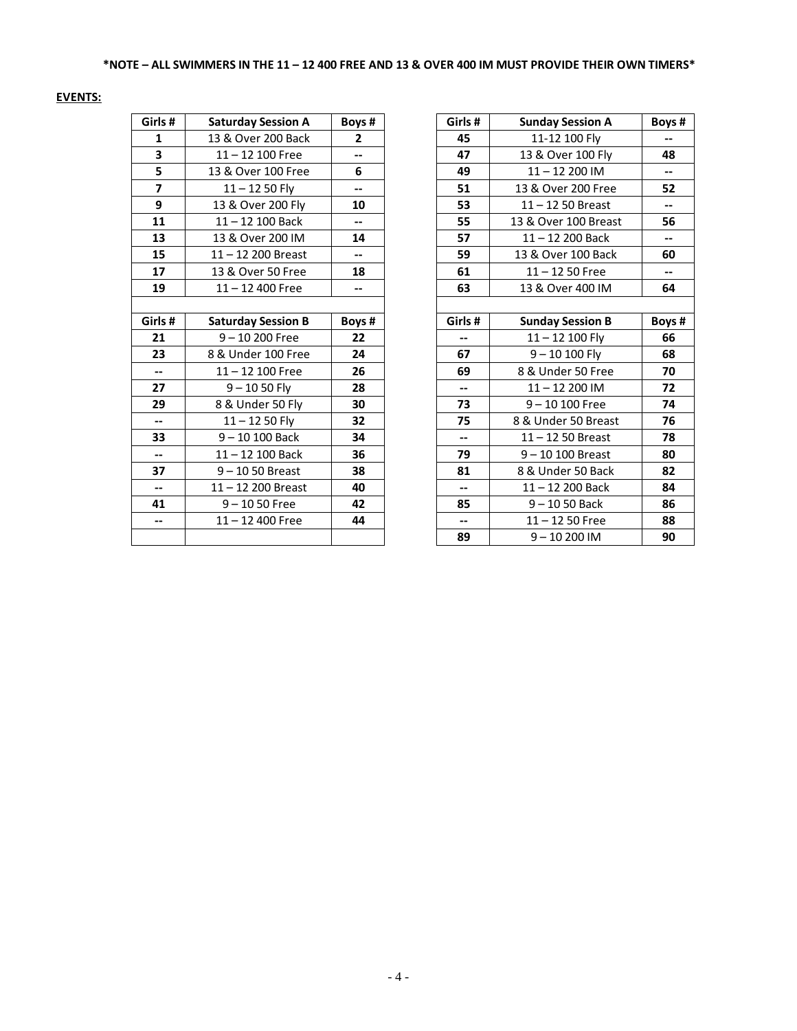# **EVENTS:**

| Girls#                  | <b>Saturday Session A</b> | Boys# |
|-------------------------|---------------------------|-------|
| 1                       | 13 & Over 200 Back        | 2     |
| 3                       | $11 - 12$ 100 Free        | $- -$ |
| 5                       | 13 & Over 100 Free        | 6     |
| $\overline{\mathbf{z}}$ | $11 - 1250$ Fly           | --    |
| 9                       | 13 & Over 200 Fly         | 10    |
| 11                      | 11-12 100 Back            |       |
| 13                      | 13 & Over 200 IM          | 14    |
| 15                      | 11-12 200 Breast          | --    |
| 17                      | 13 & Over 50 Free         | 18    |
| 19                      | $11 - 12$ 400 Free        | --    |
|                         |                           |       |
| Girls#                  | <b>Saturday Session B</b> | Boys# |
| 21                      | 9-10 200 Free             | 22    |
| 23                      | 8 & Under 100 Free        | 24    |
| $\overline{a}$          | 11-12 100 Free            | 26    |
| 27                      | 9 – 10 50 Fly             | 28    |
| 29                      | 8 & Under 50 Fly          | 30    |
| $-$                     | $11 - 1250$ Fly           | 32    |
| 33                      | $9 - 10 100$ Back         | 34    |
| $-$                     | 11-12 100 Back            | 36    |
| 37                      | $9 - 1050$ Breast         | 38    |
| $\overline{a}$          | 11-12 200 Breast          | 40    |
| 41                      | 9-1050 Free               | 42    |
|                         | $11 - 12$ 400 Free        | 44    |
|                         |                           |       |

| Girls#                   | <b>Saturday Session A</b> | Boys#                    | Girls#                   | <b>Sunday Session A</b> | Boys #                   |
|--------------------------|---------------------------|--------------------------|--------------------------|-------------------------|--------------------------|
| $\mathbf{1}$             | 13 & Over 200 Back        | $\overline{2}$           | 45                       | 11-12 100 Fly           |                          |
| 3                        | $11 - 12$ 100 Free        | $\overline{\phantom{a}}$ | 47                       | 13 & Over 100 Fly       | 48                       |
| 5                        | 13 & Over 100 Free        | 6                        | 49                       | 11-12 200 IM            | $\overline{\phantom{a}}$ |
| $\overline{7}$           | $11 - 1250$ Fly           | $\overline{\phantom{a}}$ | 51                       | 13 & Over 200 Free      | 52                       |
| 9                        | 13 & Over 200 Fly         | 10                       | 53                       | $11 - 1250$ Breast      | ⊷                        |
| 11                       | $11 - 12$ 100 Back        | $\overline{\phantom{a}}$ | 55                       | 13 & Over 100 Breast    | 56                       |
| 13                       | 13 & Over 200 IM          | 14                       | 57                       | $11 - 12$ 200 Back      | $\overline{\phantom{a}}$ |
| 15                       | 11-12 200 Breast          | $\overline{\phantom{a}}$ | 59                       | 13 & Over 100 Back      | 60                       |
| 17                       | 13 & Over 50 Free         | 18                       | 61                       | $11 - 1250$ Free        | $\overline{\phantom{0}}$ |
| 19                       | $11 - 12400$ Free         | $- -$                    | 63                       | 13 & Over 400 IM        | 64                       |
|                          |                           |                          |                          |                         |                          |
| Girls#                   | <b>Saturday Session B</b> | Boys#                    | Girls #                  | <b>Sunday Session B</b> | Boys#                    |
| 21                       | $9 - 10200$ Free          | 22                       | --                       | $11 - 12$ 100 Fly       | 66                       |
| 23                       | 8 & Under 100 Free        | 24                       | 67                       | $9 - 10 100$ Fly        | 68                       |
| $- -$                    | $11 - 12$ 100 Free        | 26                       | 69                       | 8 & Under 50 Free       | 70                       |
| 27                       | $9 - 1050$ Fly            | 28                       | $\overline{\phantom{0}}$ | $11 - 12200$ IM         | 72                       |
| 29                       | 8 & Under 50 Fly          | 30                       | 73                       | $9 - 10100$ Free        | 74                       |
| $\overline{\phantom{a}}$ | $11 - 1250$ Fly           | 32                       | 75                       | 8 & Under 50 Breast     | 76                       |
| 33                       | $9 - 10 100$ Back         | 34                       | --                       | $11 - 1250$ Breast      | 78                       |
| $- -$                    | $11 - 12$ 100 Back        | 36                       | 79                       | $9 - 10 100$ Breast     | 80                       |
| 37                       | $9 - 1050$ Breast         | 38                       | 81                       | 8 & Under 50 Back       | 82                       |
| $- -$                    | $11 - 12$ 200 Breast      | 40                       | $\overline{\phantom{a}}$ | $11 - 12$ 200 Back      | 84                       |
| 41                       | $9 - 1050$ Free           | 42                       | 85                       | $9 - 1050$ Back         | 86                       |
| $\overline{\phantom{a}}$ | $11 - 12$ 400 Free        | 44                       | $\overline{\phantom{a}}$ | $11 - 1250$ Free        | 88                       |
|                          |                           |                          | 89                       | $9 - 10200$ IM          | 90                       |